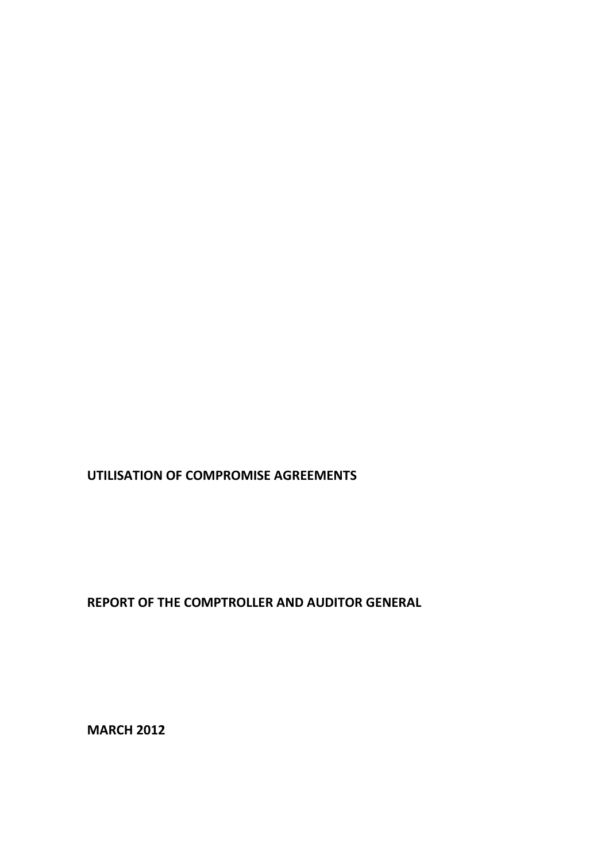UTILISATION OF COMPROMISE AGREEMENTS

REPORT OF THE COMPTROLLER AND AUDITOR GENERAL

MARCH 2012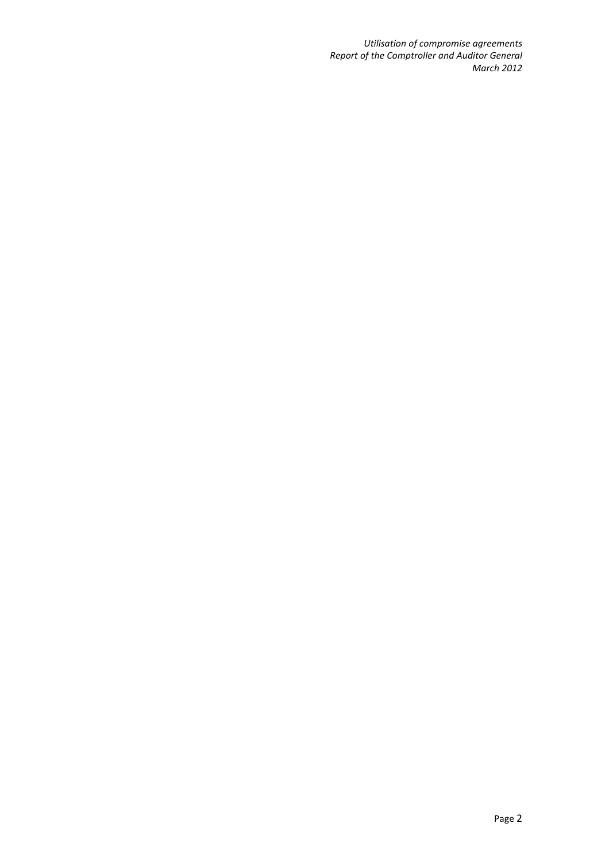Utilisation of compromise agreements Report of the Comptroller and Auditor General March 2012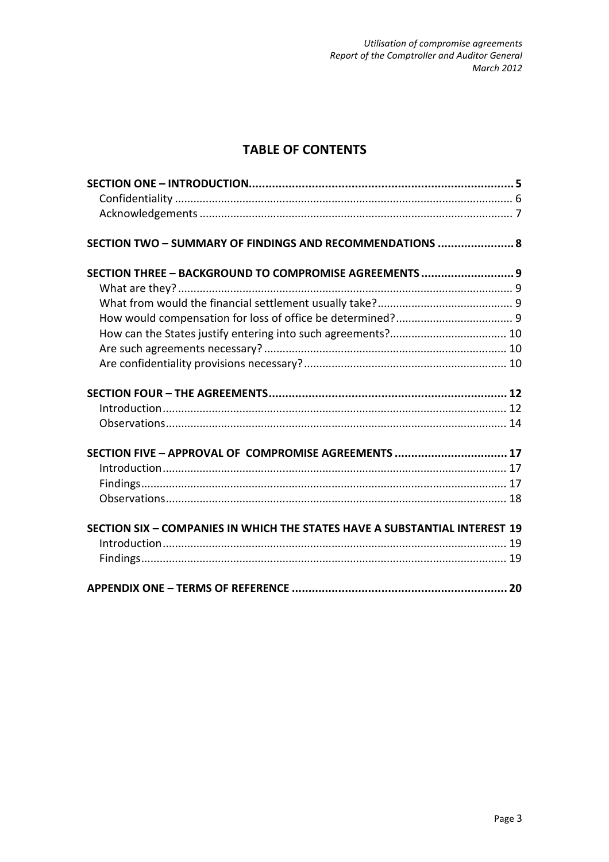# **TABLE OF CONTENTS**

| SECTION TWO - SUMMARY OF FINDINGS AND RECOMMENDATIONS  8                   |  |
|----------------------------------------------------------------------------|--|
| SECTION THREE - BACKGROUND TO COMPROMISE AGREEMENTS  9                     |  |
|                                                                            |  |
|                                                                            |  |
|                                                                            |  |
|                                                                            |  |
|                                                                            |  |
|                                                                            |  |
|                                                                            |  |
|                                                                            |  |
|                                                                            |  |
| SECTION FIVE - APPROVAL OF COMPROMISE AGREEMENTS  17                       |  |
|                                                                            |  |
|                                                                            |  |
|                                                                            |  |
| SECTION SIX - COMPANIES IN WHICH THE STATES HAVE A SUBSTANTIAL INTEREST 19 |  |
|                                                                            |  |
|                                                                            |  |
|                                                                            |  |
|                                                                            |  |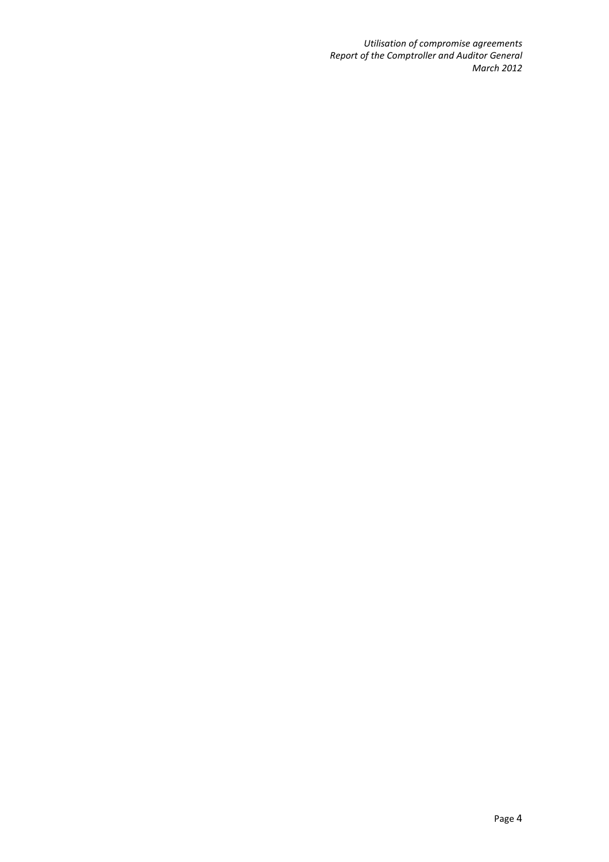Utilisation of compromise agreements Report of the Comptroller and Auditor General March 2012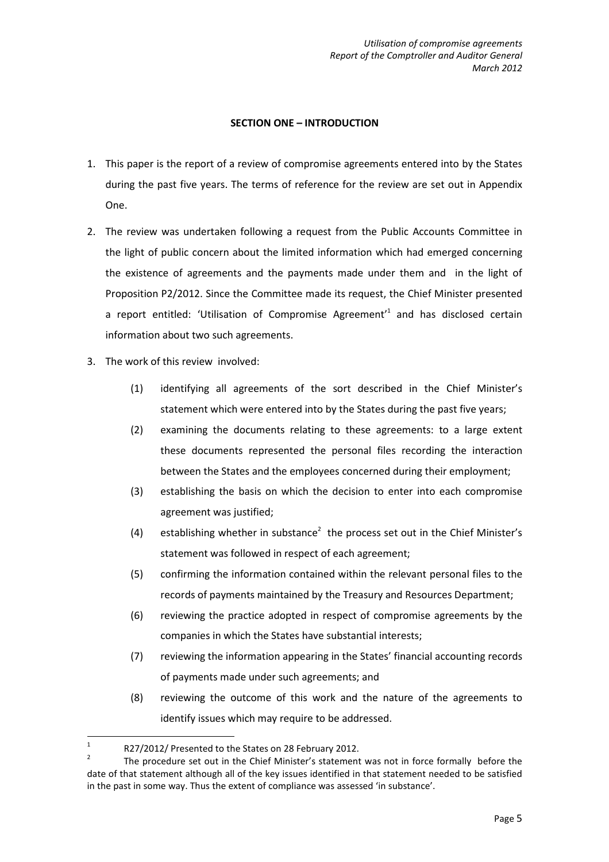# SECTION ONE – INTRODUCTION

- 1. This paper is the report of a review of compromise agreements entered into by the States during the past five years. The terms of reference for the review are set out in Appendix One.
- 2. The review was undertaken following a request from the Public Accounts Committee in the light of public concern about the limited information which had emerged concerning the existence of agreements and the payments made under them and in the light of Proposition P2/2012. Since the Committee made its request, the Chief Minister presented a report entitled: 'Utilisation of Compromise Agreement'<sup>1</sup> and has disclosed certain information about two such agreements.
- 3. The work of this review involved:
	- (1) identifying all agreements of the sort described in the Chief Minister's statement which were entered into by the States during the past five years;
	- (2) examining the documents relating to these agreements: to a large extent these documents represented the personal files recording the interaction between the States and the employees concerned during their employment;
	- (3) establishing the basis on which the decision to enter into each compromise agreement was justified;
	- (4) establishing whether in substance<sup>2</sup> the process set out in the Chief Minister's statement was followed in respect of each agreement;
	- (5) confirming the information contained within the relevant personal files to the records of payments maintained by the Treasury and Resources Department;
	- (6) reviewing the practice adopted in respect of compromise agreements by the companies in which the States have substantial interests;
	- (7) reviewing the information appearing in the States' financial accounting records of payments made under such agreements; and
	- (8) reviewing the outcome of this work and the nature of the agreements to identify issues which may require to be addressed.

 $\overline{a}$ 

<sup>1</sup> R27/2012/ Presented to the States on 28 February 2012.

 $\overline{2}$  The procedure set out in the Chief Minister's statement was not in force formally before the date of that statement although all of the key issues identified in that statement needed to be satisfied in the past in some way. Thus the extent of compliance was assessed 'in substance'.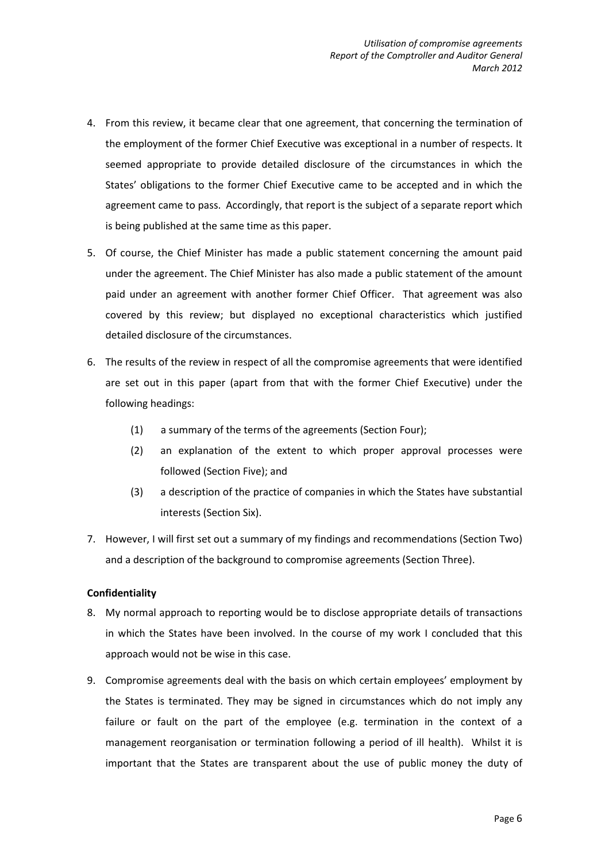- 4. From this review, it became clear that one agreement, that concerning the termination of the employment of the former Chief Executive was exceptional in a number of respects. It seemed appropriate to provide detailed disclosure of the circumstances in which the States' obligations to the former Chief Executive came to be accepted and in which the agreement came to pass. Accordingly, that report is the subject of a separate report which is being published at the same time as this paper.
- 5. Of course, the Chief Minister has made a public statement concerning the amount paid under the agreement. The Chief Minister has also made a public statement of the amount paid under an agreement with another former Chief Officer. That agreement was also covered by this review; but displayed no exceptional characteristics which justified detailed disclosure of the circumstances.
- 6. The results of the review in respect of all the compromise agreements that were identified are set out in this paper (apart from that with the former Chief Executive) under the following headings:
	- (1) a summary of the terms of the agreements (Section Four);
	- (2) an explanation of the extent to which proper approval processes were followed (Section Five); and
	- (3) a description of the practice of companies in which the States have substantial interests (Section Six).
- 7. However, I will first set out a summary of my findings and recommendations (Section Two) and a description of the background to compromise agreements (Section Three).

# Confidentiality

- 8. My normal approach to reporting would be to disclose appropriate details of transactions in which the States have been involved. In the course of my work I concluded that this approach would not be wise in this case.
- 9. Compromise agreements deal with the basis on which certain employees' employment by the States is terminated. They may be signed in circumstances which do not imply any failure or fault on the part of the employee (e.g. termination in the context of a management reorganisation or termination following a period of ill health). Whilst it is important that the States are transparent about the use of public money the duty of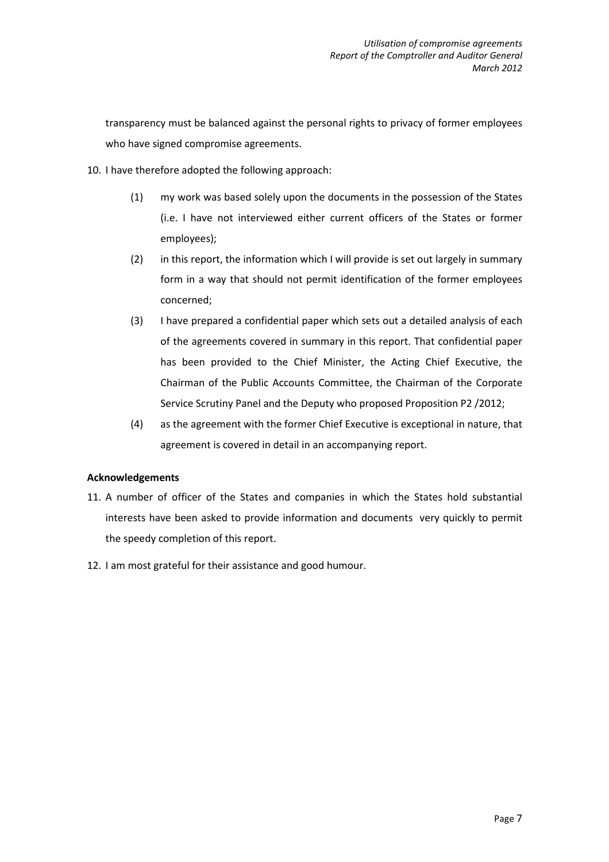transparency must be balanced against the personal rights to privacy of former employees who have signed compromise agreements.

- 10. I have therefore adopted the following approach:
	- (1) my work was based solely upon the documents in the possession of the States (i.e. I have not interviewed either current officers of the States or former employees);
	- (2) in this report, the information which I will provide is set out largely in summary form in a way that should not permit identification of the former employees concerned;
	- (3) I have prepared a confidential paper which sets out a detailed analysis of each of the agreements covered in summary in this report. That confidential paper has been provided to the Chief Minister, the Acting Chief Executive, the Chairman of the Public Accounts Committee, the Chairman of the Corporate Service Scrutiny Panel and the Deputy who proposed Proposition P2 /2012;
	- (4) as the agreement with the former Chief Executive is exceptional in nature, that agreement is covered in detail in an accompanying report.

# Acknowledgements

- 11. A number of officer of the States and companies in which the States hold substantial interests have been asked to provide information and documents very quickly to permit the speedy completion of this report.
- 12. I am most grateful for their assistance and good humour.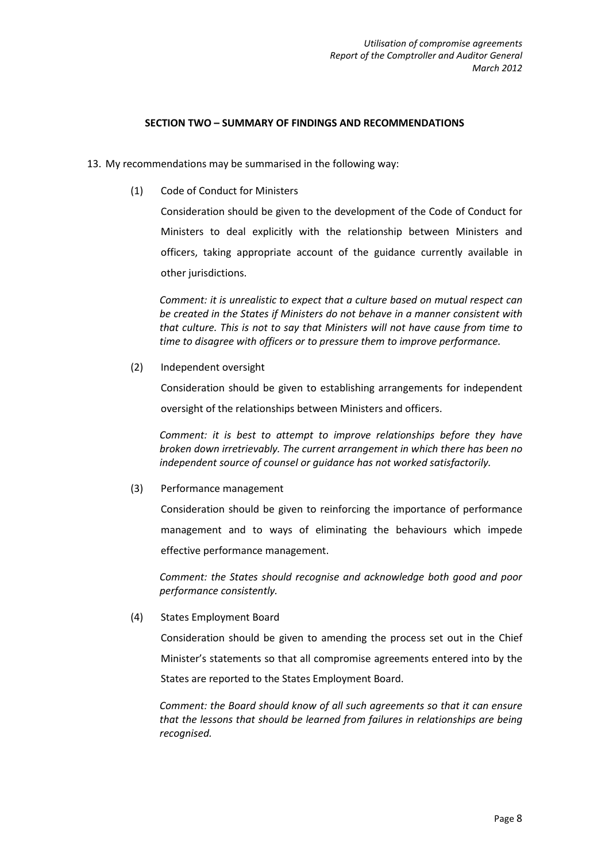# SECTION TWO – SUMMARY OF FINDINGS AND RECOMMENDATIONS

- 13. My recommendations may be summarised in the following way:
	- (1) Code of Conduct for Ministers

Consideration should be given to the development of the Code of Conduct for Ministers to deal explicitly with the relationship between Ministers and officers, taking appropriate account of the guidance currently available in other jurisdictions.

Comment: it is unrealistic to expect that a culture based on mutual respect can be created in the States if Ministers do not behave in a manner consistent with that culture. This is not to say that Ministers will not have cause from time to time to disagree with officers or to pressure them to improve performance.

(2) Independent oversight

Consideration should be given to establishing arrangements for independent oversight of the relationships between Ministers and officers.

Comment: it is best to attempt to improve relationships before they have broken down irretrievably. The current arrangement in which there has been no independent source of counsel or guidance has not worked satisfactorily.

(3) Performance management

Consideration should be given to reinforcing the importance of performance management and to ways of eliminating the behaviours which impede effective performance management.

Comment: the States should recognise and acknowledge both good and poor performance consistently.

(4) States Employment Board

Consideration should be given to amending the process set out in the Chief Minister's statements so that all compromise agreements entered into by the States are reported to the States Employment Board.

Comment: the Board should know of all such agreements so that it can ensure that the lessons that should be learned from failures in relationships are being recognised.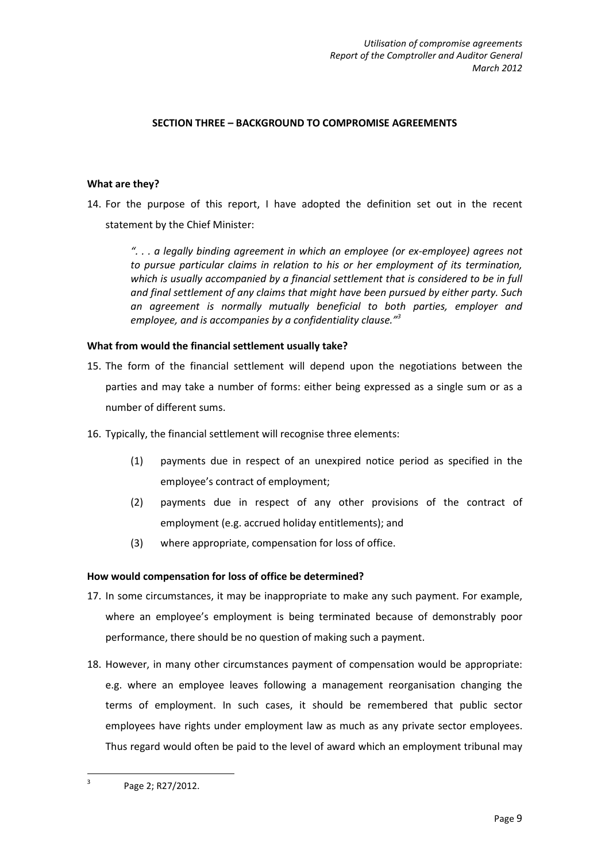# SECTION THREE – BACKGROUND TO COMPROMISE AGREEMENTS

### What are they?

14. For the purpose of this report, I have adopted the definition set out in the recent statement by the Chief Minister:

". . . a legally binding agreement in which an employee (or ex-employee) agrees not to pursue particular claims in relation to his or her employment of its termination, which is usually accompanied by a financial settlement that is considered to be in full and final settlement of any claims that might have been pursued by either party. Such an agreement is normally mutually beneficial to both parties, employer and employee, and is accompanies by a confidentiality clause.<sup>"3</sup>

# What from would the financial settlement usually take?

- 15. The form of the financial settlement will depend upon the negotiations between the parties and may take a number of forms: either being expressed as a single sum or as a number of different sums.
- 16. Typically, the financial settlement will recognise three elements:
	- (1) payments due in respect of an unexpired notice period as specified in the employee's contract of employment;
	- (2) payments due in respect of any other provisions of the contract of employment (e.g. accrued holiday entitlements); and
	- (3) where appropriate, compensation for loss of office.

# How would compensation for loss of office be determined?

- 17. In some circumstances, it may be inappropriate to make any such payment. For example, where an employee's employment is being terminated because of demonstrably poor performance, there should be no question of making such a payment.
- 18. However, in many other circumstances payment of compensation would be appropriate: e.g. where an employee leaves following a management reorganisation changing the terms of employment. In such cases, it should be remembered that public sector employees have rights under employment law as much as any private sector employees. Thus regard would often be paid to the level of award which an employment tribunal may

 $\overline{a}$ 3

Page 2; R27/2012.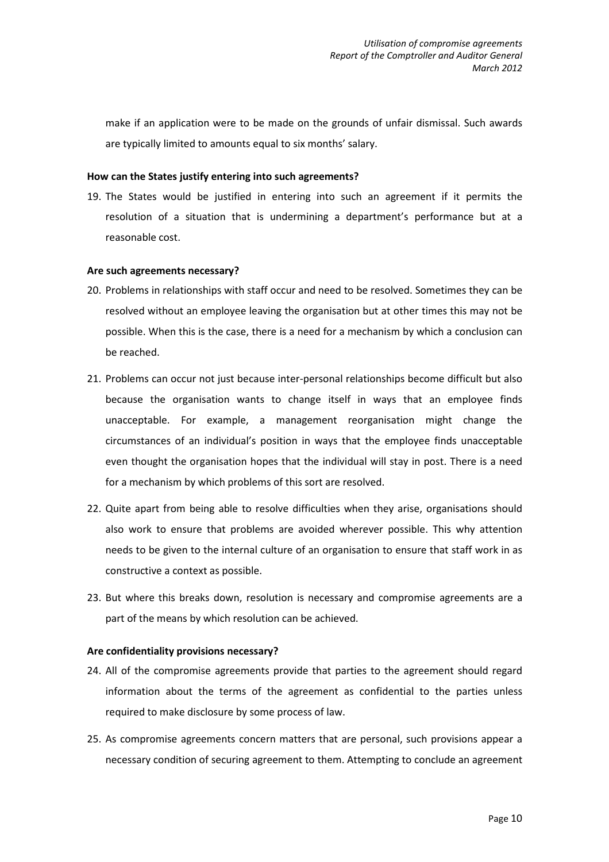make if an application were to be made on the grounds of unfair dismissal. Such awards are typically limited to amounts equal to six months' salary.

### How can the States justify entering into such agreements?

19. The States would be justified in entering into such an agreement if it permits the resolution of a situation that is undermining a department's performance but at a reasonable cost.

### Are such agreements necessary?

- 20. Problems in relationships with staff occur and need to be resolved. Sometimes they can be resolved without an employee leaving the organisation but at other times this may not be possible. When this is the case, there is a need for a mechanism by which a conclusion can be reached.
- 21. Problems can occur not just because inter-personal relationships become difficult but also because the organisation wants to change itself in ways that an employee finds unacceptable. For example, a management reorganisation might change the circumstances of an individual's position in ways that the employee finds unacceptable even thought the organisation hopes that the individual will stay in post. There is a need for a mechanism by which problems of this sort are resolved.
- 22. Quite apart from being able to resolve difficulties when they arise, organisations should also work to ensure that problems are avoided wherever possible. This why attention needs to be given to the internal culture of an organisation to ensure that staff work in as constructive a context as possible.
- 23. But where this breaks down, resolution is necessary and compromise agreements are a part of the means by which resolution can be achieved.

# Are confidentiality provisions necessary?

- 24. All of the compromise agreements provide that parties to the agreement should regard information about the terms of the agreement as confidential to the parties unless required to make disclosure by some process of law.
- 25. As compromise agreements concern matters that are personal, such provisions appear a necessary condition of securing agreement to them. Attempting to conclude an agreement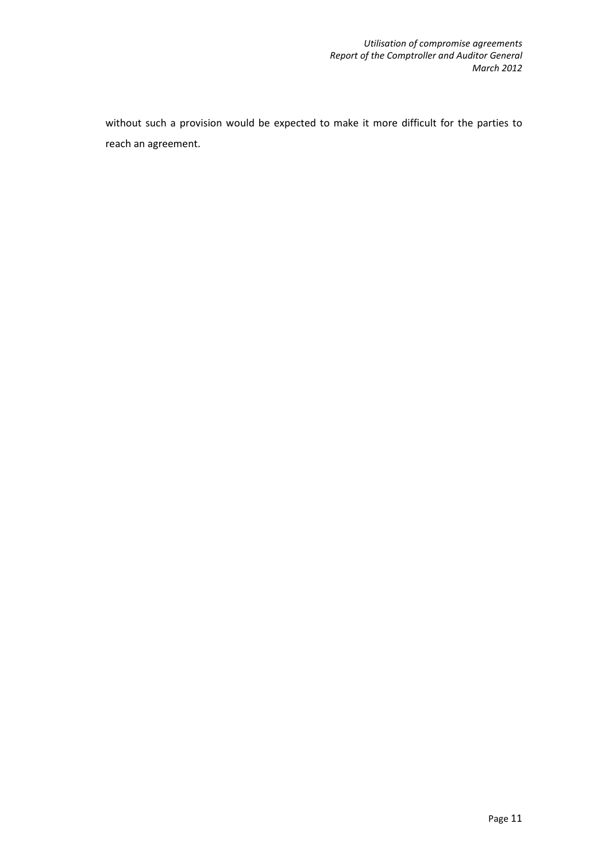without such a provision would be expected to make it more difficult for the parties to reach an agreement.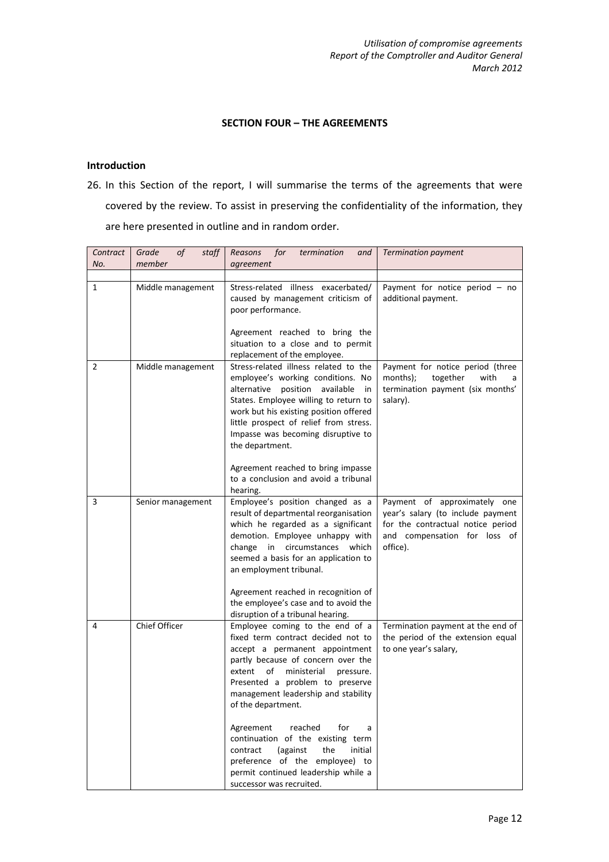# SECTION FOUR – THE AGREEMENTS

# Introduction

26. In this Section of the report, I will summarise the terms of the agreements that were covered by the review. To assist in preserving the confidentiality of the information, they are here presented in outline and in random order.

| Contract<br>No. | Grade<br>0f<br>staff<br>member | termination<br>Reasons<br>for<br>and<br>agreement                                                                                                                                                                                                                                                           | <b>Termination payment</b>                                                                                                                         |
|-----------------|--------------------------------|-------------------------------------------------------------------------------------------------------------------------------------------------------------------------------------------------------------------------------------------------------------------------------------------------------------|----------------------------------------------------------------------------------------------------------------------------------------------------|
|                 |                                |                                                                                                                                                                                                                                                                                                             |                                                                                                                                                    |
| $\mathbf{1}$    | Middle management              | Stress-related illness exacerbated/<br>caused by management criticism of<br>poor performance.                                                                                                                                                                                                               | Payment for notice period $-$ no<br>additional payment.                                                                                            |
|                 |                                | Agreement reached to bring the<br>situation to a close and to permit<br>replacement of the employee.                                                                                                                                                                                                        |                                                                                                                                                    |
| 2               | Middle management              | Stress-related illness related to the<br>employee's working conditions. No<br>alternative<br>position available<br>in<br>States. Employee willing to return to<br>work but his existing position offered<br>little prospect of relief from stress.<br>Impasse was becoming disruptive to<br>the department. | Payment for notice period (three<br>months);<br>together<br>with<br>a<br>termination payment (six months'<br>salary).                              |
|                 |                                | Agreement reached to bring impasse<br>to a conclusion and avoid a tribunal<br>hearing.                                                                                                                                                                                                                      |                                                                                                                                                    |
| 3               | Senior management              | Employee's position changed as a<br>result of departmental reorganisation<br>which he regarded as a significant<br>demotion. Employee unhappy with<br>change in circumstances which<br>seemed a basis for an application to<br>an employment tribunal.                                                      | Payment of approximately one<br>year's salary (to include payment<br>for the contractual notice period<br>and compensation for loss of<br>office). |
|                 |                                | Agreement reached in recognition of<br>the employee's case and to avoid the<br>disruption of a tribunal hearing.                                                                                                                                                                                            |                                                                                                                                                    |
| 4               | Chief Officer                  | Employee coming to the end of a<br>fixed term contract decided not to<br>accept a permanent appointment<br>partly because of concern over the<br>of<br>ministerial<br>extent<br>pressure.<br>Presented a problem to preserve<br>management leadership and stability<br>of the department.                   | Termination payment at the end of<br>the period of the extension equal<br>to one year's salary,                                                    |
|                 |                                | Agreement<br>reached<br>for<br>a<br>continuation of the existing term<br>initial<br>contract<br>(against<br>the<br>preference of the employee) to<br>permit continued leadership while a<br>successor was recruited.                                                                                        |                                                                                                                                                    |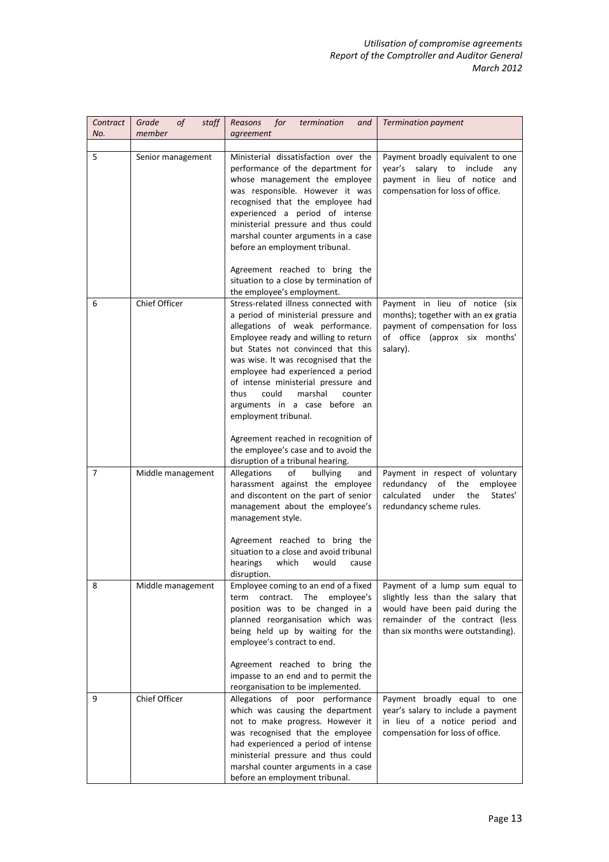| Contract<br>No. | Grade<br>0f<br>staff<br>member | Reasons<br>for<br>termination<br>and<br>agreement                                                                                                                                                                                                                                                                                                                                                                                                          | <b>Termination payment</b>                                                                                                                                                       |
|-----------------|--------------------------------|------------------------------------------------------------------------------------------------------------------------------------------------------------------------------------------------------------------------------------------------------------------------------------------------------------------------------------------------------------------------------------------------------------------------------------------------------------|----------------------------------------------------------------------------------------------------------------------------------------------------------------------------------|
| 5.              | Senior management              | Ministerial dissatisfaction over the<br>performance of the department for<br>whose management the employee<br>was responsible. However it was<br>recognised that the employee had<br>experienced a period of intense<br>ministerial pressure and thus could<br>marshal counter arguments in a case<br>before an employment tribunal.<br>Agreement reached to bring the<br>situation to a close by termination of<br>the employee's employment.             | Payment broadly equivalent to one<br>year's salary to include<br>any<br>payment in lieu of notice and<br>compensation for loss of office.                                        |
| 6               | Chief Officer                  | Stress-related illness connected with<br>a period of ministerial pressure and<br>allegations of weak performance.<br>Employee ready and willing to return<br>but States not convinced that this<br>was wise. It was recognised that the<br>employee had experienced a period<br>of intense ministerial pressure and<br>could<br>marshal<br>thus<br>counter<br>arguments in a case before an<br>employment tribunal.<br>Agreement reached in recognition of | Payment in lieu of notice (six<br>months); together with an ex gratia<br>payment of compensation for loss<br>of office (approx six months'<br>salary).                           |
| 7               | Middle management              | the employee's case and to avoid the<br>disruption of a tribunal hearing.<br>Allegations<br>bullying<br>οf<br>and                                                                                                                                                                                                                                                                                                                                          | Payment in respect of voluntary                                                                                                                                                  |
|                 |                                | harassment against the employee<br>and discontent on the part of senior<br>management about the employee's<br>management style.<br>Agreement reached to bring the<br>situation to a close and avoid tribunal<br>which<br>hearings<br>would<br>cause<br>disruption.                                                                                                                                                                                         | of the<br>redundancy<br>employee<br>under<br>calculated<br>the<br>States'<br>redundancy scheme rules.                                                                            |
| 8               | Middle management              | Employee coming to an end of a fixed<br>The<br>term<br>contract.<br>employee's<br>position was to be changed in a<br>planned reorganisation which was<br>being held up by waiting for the<br>employee's contract to end.<br>Agreement reached to bring the<br>impasse to an end and to permit the                                                                                                                                                          | Payment of a lump sum equal to<br>slightly less than the salary that<br>would have been paid during the<br>remainder of the contract (less<br>than six months were outstanding). |
| 9               | Chief Officer                  | reorganisation to be implemented.<br>Allegations of poor performance<br>which was causing the department<br>not to make progress. However it<br>was recognised that the employee<br>had experienced a period of intense<br>ministerial pressure and thus could<br>marshal counter arguments in a case<br>before an employment tribunal.                                                                                                                    | Payment broadly equal to one<br>year's salary to include a payment<br>in lieu of a notice period and<br>compensation for loss of office.                                         |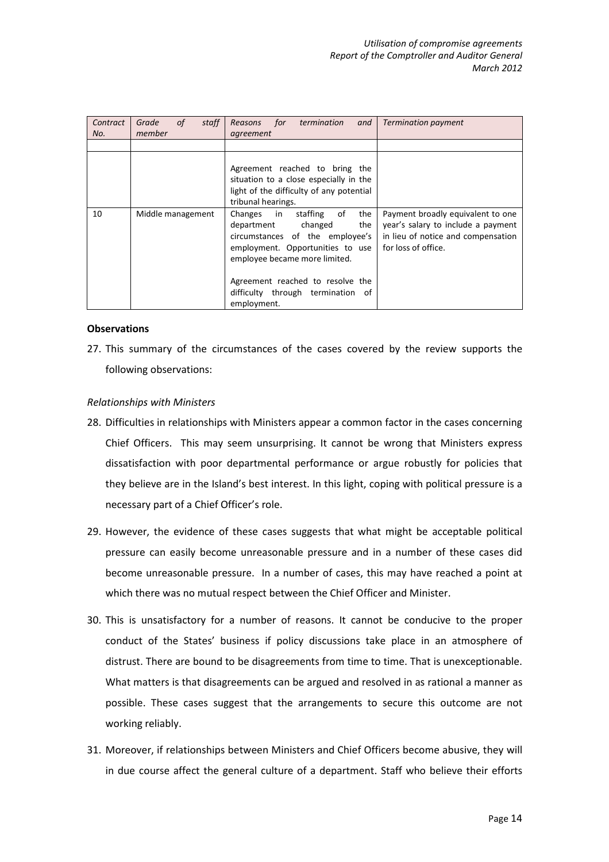| Contract<br>No. | staff<br>οf<br>Grade<br>member | termination<br><i>for</i><br>Reasons<br>and<br>agreement                                                                                                                                                                                          | <b>Termination payment</b>                                                                                                           |
|-----------------|--------------------------------|---------------------------------------------------------------------------------------------------------------------------------------------------------------------------------------------------------------------------------------------------|--------------------------------------------------------------------------------------------------------------------------------------|
|                 |                                |                                                                                                                                                                                                                                                   |                                                                                                                                      |
|                 |                                | Agreement reached to bring the<br>situation to a close especially in the<br>light of the difficulty of any potential<br>tribunal hearings.                                                                                                        |                                                                                                                                      |
| 10              | Middle management              | staffing<br>Changes in<br>of<br>the<br>department changed<br>the<br>circumstances of the employee's<br>employment. Opportunities to use<br>employee became more limited.<br>Agreement reached to resolve the<br>difficulty through termination of | Payment broadly equivalent to one<br>year's salary to include a payment<br>in lieu of notice and compensation<br>for loss of office. |
|                 |                                | employment.                                                                                                                                                                                                                                       |                                                                                                                                      |

#### **Observations**

27. This summary of the circumstances of the cases covered by the review supports the following observations:

### Relationships with Ministers

- 28. Difficulties in relationships with Ministers appear a common factor in the cases concerning Chief Officers. This may seem unsurprising. It cannot be wrong that Ministers express dissatisfaction with poor departmental performance or argue robustly for policies that they believe are in the Island's best interest. In this light, coping with political pressure is a necessary part of a Chief Officer's role.
- 29. However, the evidence of these cases suggests that what might be acceptable political pressure can easily become unreasonable pressure and in a number of these cases did become unreasonable pressure. In a number of cases, this may have reached a point at which there was no mutual respect between the Chief Officer and Minister.
- 30. This is unsatisfactory for a number of reasons. It cannot be conducive to the proper conduct of the States' business if policy discussions take place in an atmosphere of distrust. There are bound to be disagreements from time to time. That is unexceptionable. What matters is that disagreements can be argued and resolved in as rational a manner as possible. These cases suggest that the arrangements to secure this outcome are not working reliably.
- 31. Moreover, if relationships between Ministers and Chief Officers become abusive, they will in due course affect the general culture of a department. Staff who believe their efforts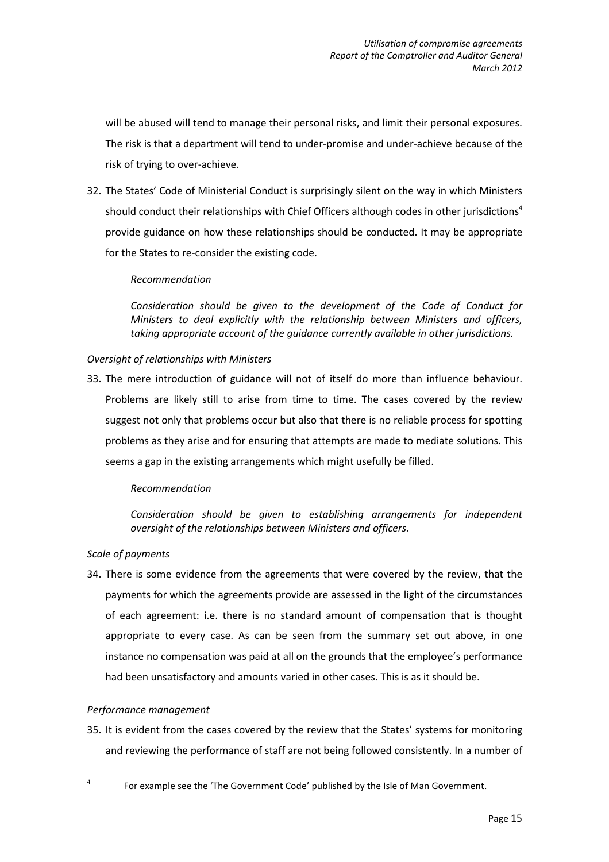will be abused will tend to manage their personal risks, and limit their personal exposures. The risk is that a department will tend to under-promise and under-achieve because of the risk of trying to over-achieve.

32. The States' Code of Ministerial Conduct is surprisingly silent on the way in which Ministers should conduct their relationships with Chief Officers although codes in other jurisdictions<sup>4</sup> provide guidance on how these relationships should be conducted. It may be appropriate for the States to re-consider the existing code.

# Recommendation

Consideration should be given to the development of the Code of Conduct for Ministers to deal explicitly with the relationship between Ministers and officers, taking appropriate account of the guidance currently available in other jurisdictions.

# Oversight of relationships with Ministers

33. The mere introduction of guidance will not of itself do more than influence behaviour. Problems are likely still to arise from time to time. The cases covered by the review suggest not only that problems occur but also that there is no reliable process for spotting problems as they arise and for ensuring that attempts are made to mediate solutions. This seems a gap in the existing arrangements which might usefully be filled.

# Recommendation

Consideration should be given to establishing arrangements for independent oversight of the relationships between Ministers and officers.

# Scale of payments

34. There is some evidence from the agreements that were covered by the review, that the payments for which the agreements provide are assessed in the light of the circumstances of each agreement: i.e. there is no standard amount of compensation that is thought appropriate to every case. As can be seen from the summary set out above, in one instance no compensation was paid at all on the grounds that the employee's performance had been unsatisfactory and amounts varied in other cases. This is as it should be.

# Performance management

- 35. It is evident from the cases covered by the review that the States' systems for monitoring and reviewing the performance of staff are not being followed consistently. In a number of
- $\overline{a}$ 4

For example see the 'The Government Code' published by the Isle of Man Government.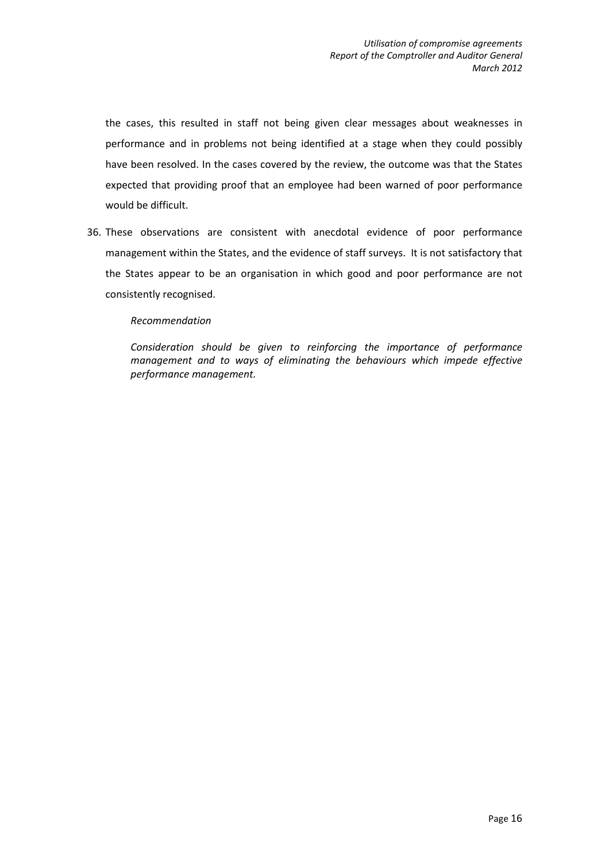the cases, this resulted in staff not being given clear messages about weaknesses in performance and in problems not being identified at a stage when they could possibly have been resolved. In the cases covered by the review, the outcome was that the States expected that providing proof that an employee had been warned of poor performance would be difficult.

36. These observations are consistent with anecdotal evidence of poor performance management within the States, and the evidence of staff surveys. It is not satisfactory that the States appear to be an organisation in which good and poor performance are not consistently recognised.

# Recommendation

Consideration should be given to reinforcing the importance of performance management and to ways of eliminating the behaviours which impede effective performance management.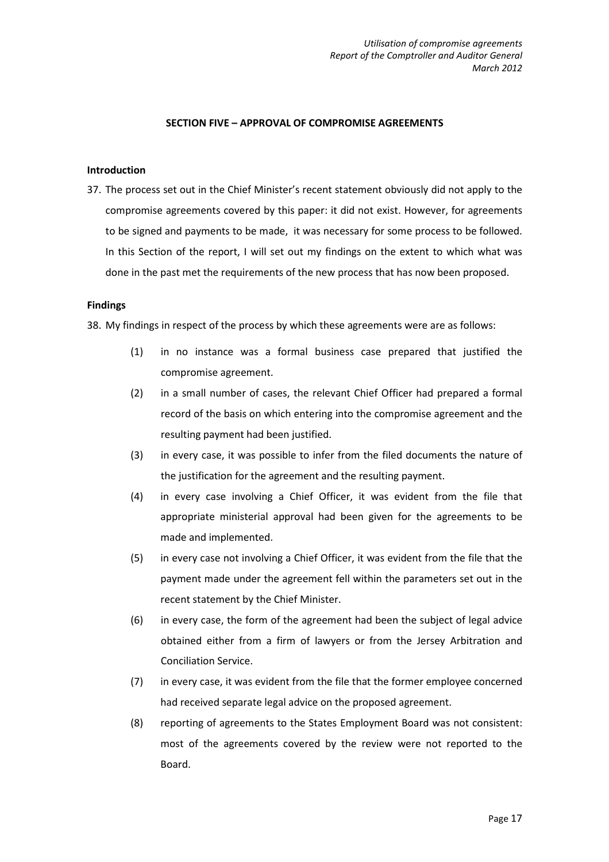### SECTION FIVE – APPROVAL OF COMPROMISE AGREEMENTS

#### Introduction

37. The process set out in the Chief Minister's recent statement obviously did not apply to the compromise agreements covered by this paper: it did not exist. However, for agreements to be signed and payments to be made, it was necessary for some process to be followed. In this Section of the report, I will set out my findings on the extent to which what was done in the past met the requirements of the new process that has now been proposed.

#### Findings

38. My findings in respect of the process by which these agreements were are as follows:

- (1) in no instance was a formal business case prepared that justified the compromise agreement.
- (2) in a small number of cases, the relevant Chief Officer had prepared a formal record of the basis on which entering into the compromise agreement and the resulting payment had been justified.
- (3) in every case, it was possible to infer from the filed documents the nature of the justification for the agreement and the resulting payment.
- (4) in every case involving a Chief Officer, it was evident from the file that appropriate ministerial approval had been given for the agreements to be made and implemented.
- (5) in every case not involving a Chief Officer, it was evident from the file that the payment made under the agreement fell within the parameters set out in the recent statement by the Chief Minister.
- (6) in every case, the form of the agreement had been the subject of legal advice obtained either from a firm of lawyers or from the Jersey Arbitration and Conciliation Service.
- (7) in every case, it was evident from the file that the former employee concerned had received separate legal advice on the proposed agreement.
- (8) reporting of agreements to the States Employment Board was not consistent: most of the agreements covered by the review were not reported to the Board.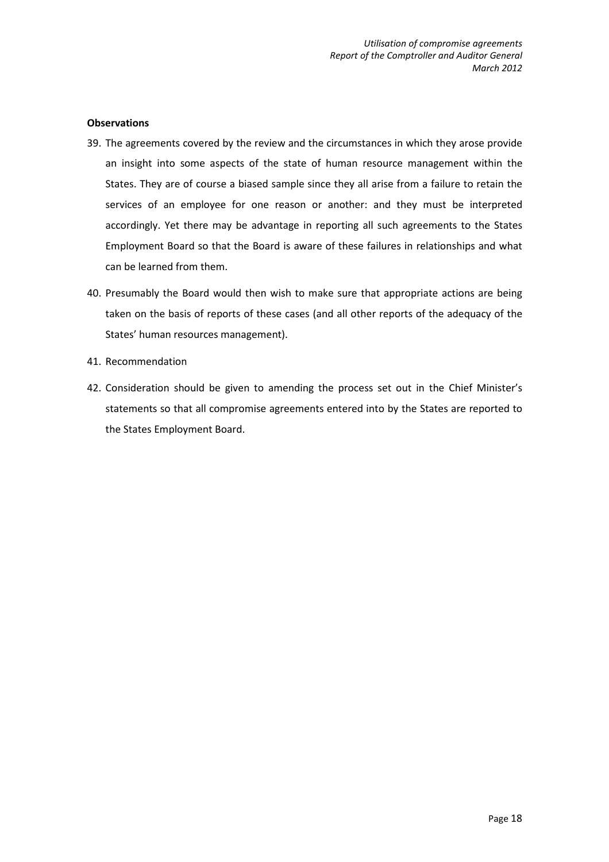#### **Observations**

- 39. The agreements covered by the review and the circumstances in which they arose provide an insight into some aspects of the state of human resource management within the States. They are of course a biased sample since they all arise from a failure to retain the services of an employee for one reason or another: and they must be interpreted accordingly. Yet there may be advantage in reporting all such agreements to the States Employment Board so that the Board is aware of these failures in relationships and what can be learned from them.
- 40. Presumably the Board would then wish to make sure that appropriate actions are being taken on the basis of reports of these cases (and all other reports of the adequacy of the States' human resources management).
- 41. Recommendation
- 42. Consideration should be given to amending the process set out in the Chief Minister's statements so that all compromise agreements entered into by the States are reported to the States Employment Board.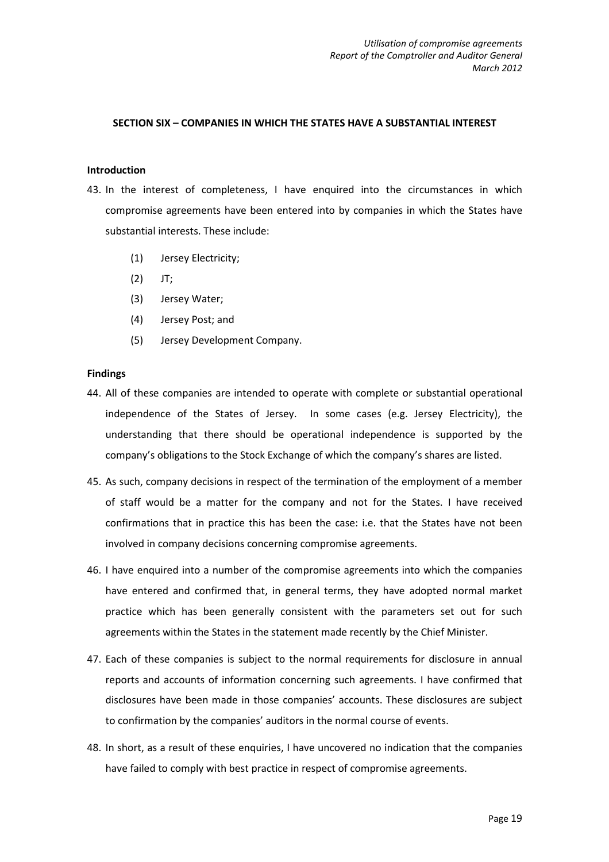### SECTION SIX – COMPANIES IN WHICH THE STATES HAVE A SUBSTANTIAL INTEREST

#### Introduction

- 43. In the interest of completeness, I have enquired into the circumstances in which compromise agreements have been entered into by companies in which the States have substantial interests. These include:
	- (1) Jersey Electricity;
	- (2) JT;
	- (3) Jersey Water;
	- (4) Jersey Post; and
	- (5) Jersey Development Company.

#### Findings

- 44. All of these companies are intended to operate with complete or substantial operational independence of the States of Jersey. In some cases (e.g. Jersey Electricity), the understanding that there should be operational independence is supported by the company's obligations to the Stock Exchange of which the company's shares are listed.
- 45. As such, company decisions in respect of the termination of the employment of a member of staff would be a matter for the company and not for the States. I have received confirmations that in practice this has been the case: i.e. that the States have not been involved in company decisions concerning compromise agreements.
- 46. I have enquired into a number of the compromise agreements into which the companies have entered and confirmed that, in general terms, they have adopted normal market practice which has been generally consistent with the parameters set out for such agreements within the States in the statement made recently by the Chief Minister.
- 47. Each of these companies is subject to the normal requirements for disclosure in annual reports and accounts of information concerning such agreements. I have confirmed that disclosures have been made in those companies' accounts. These disclosures are subject to confirmation by the companies' auditors in the normal course of events.
- 48. In short, as a result of these enquiries, I have uncovered no indication that the companies have failed to comply with best practice in respect of compromise agreements.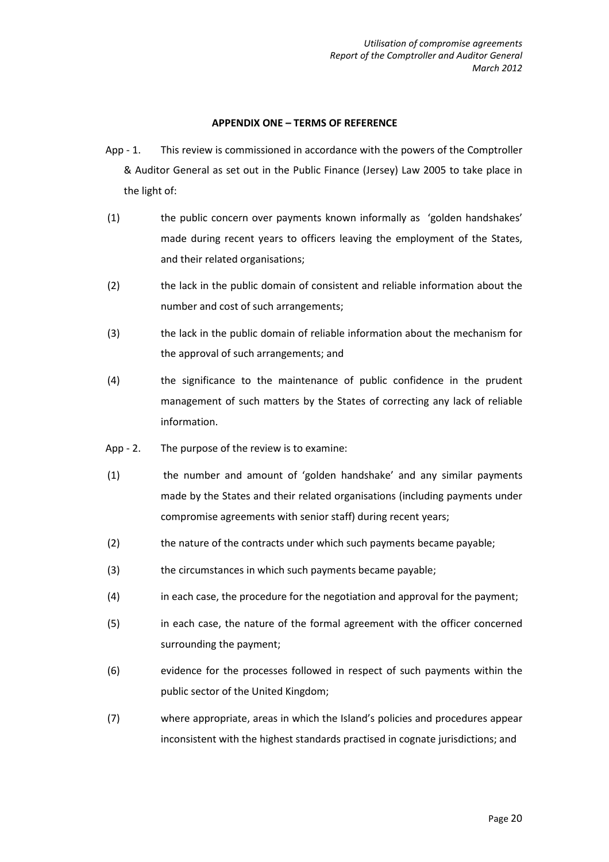### APPENDIX ONE – TERMS OF REFERENCE

- App 1. This review is commissioned in accordance with the powers of the Comptroller & Auditor General as set out in the Public Finance (Jersey) Law 2005 to take place in the light of:
- (1) the public concern over payments known informally as 'golden handshakes' made during recent years to officers leaving the employment of the States, and their related organisations;
- (2) the lack in the public domain of consistent and reliable information about the number and cost of such arrangements;
- (3) the lack in the public domain of reliable information about the mechanism for the approval of such arrangements; and
- (4) the significance to the maintenance of public confidence in the prudent management of such matters by the States of correcting any lack of reliable information.
- App 2. The purpose of the review is to examine:
- (1) the number and amount of 'golden handshake' and any similar payments made by the States and their related organisations (including payments under compromise agreements with senior staff) during recent years;
- (2) the nature of the contracts under which such payments became payable;
- (3) the circumstances in which such payments became payable;
- (4) in each case, the procedure for the negotiation and approval for the payment;
- (5) in each case, the nature of the formal agreement with the officer concerned surrounding the payment;
- (6) evidence for the processes followed in respect of such payments within the public sector of the United Kingdom;
- (7) where appropriate, areas in which the Island's policies and procedures appear inconsistent with the highest standards practised in cognate jurisdictions; and